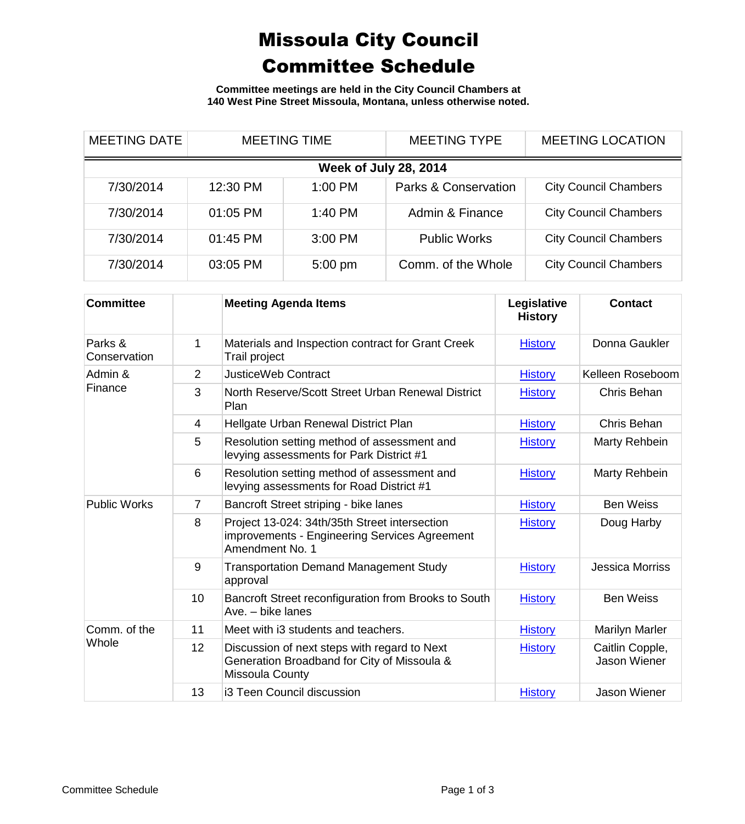## Missoula City Council Committee Schedule

**Committee meetings are held in the City Council Chambers at 140 West Pine Street Missoula, Montana, unless otherwise noted.**

| <b>MEETING DATE</b>          | <b>MEETING TIME</b> |           | <b>MEETING TYPE</b>  | <b>MEETING LOCATION</b>      |  |
|------------------------------|---------------------|-----------|----------------------|------------------------------|--|
| <b>Week of July 28, 2014</b> |                     |           |                      |                              |  |
| 7/30/2014                    | 12:30 PM            | 1:00 PM   | Parks & Conservation | <b>City Council Chambers</b> |  |
| 7/30/2014                    | 01:05 PM            | $1:40$ PM | Admin & Finance      | <b>City Council Chambers</b> |  |
| 7/30/2014                    | 01:45 PM            | 3:00 PM   | <b>Public Works</b>  | <b>City Council Chambers</b> |  |
| 7/30/2014                    | 03:05 PM            | $5:00$ pm | Comm. of the Whole   | <b>City Council Chambers</b> |  |

| <b>Committee</b>        |                | <b>Meeting Agenda Items</b>                                                                                           | Legislative<br><b>History</b> | <b>Contact</b>                  |
|-------------------------|----------------|-----------------------------------------------------------------------------------------------------------------------|-------------------------------|---------------------------------|
| Parks &<br>Conservation | 1              | Materials and Inspection contract for Grant Creek<br>Trail project                                                    | <b>History</b>                | Donna Gaukler                   |
| Admin &<br>Finance      | 2              | <b>JusticeWeb Contract</b>                                                                                            | <b>History</b>                | Kelleen Roseboom                |
|                         | 3              | North Reserve/Scott Street Urban Renewal District<br>Plan                                                             | <b>History</b>                | Chris Behan                     |
|                         | $\overline{4}$ | Hellgate Urban Renewal District Plan                                                                                  | <b>History</b>                | Chris Behan                     |
|                         | 5              | Resolution setting method of assessment and<br>levying assessments for Park District #1                               | <b>History</b>                | Marty Rehbein                   |
|                         | 6              | Resolution setting method of assessment and<br>levying assessments for Road District #1                               | <b>History</b>                | Marty Rehbein                   |
| <b>Public Works</b>     | $\overline{7}$ | Bancroft Street striping - bike lanes                                                                                 | <b>History</b>                | <b>Ben Weiss</b>                |
|                         | 8              | Project 13-024: 34th/35th Street intersection<br>improvements - Engineering Services Agreement<br>Amendment No. 1     | <b>History</b>                | Doug Harby                      |
|                         | 9              | <b>Transportation Demand Management Study</b><br>approval                                                             | <b>History</b>                | <b>Jessica Morriss</b>          |
|                         | 10             | Bancroft Street reconfiguration from Brooks to South<br>Ave. - bike lanes                                             | <b>History</b>                | <b>Ben Weiss</b>                |
| Comm. of the<br>Whole   | 11             | Meet with i3 students and teachers.                                                                                   | <b>History</b>                | <b>Marilyn Marler</b>           |
|                         | 12             | Discussion of next steps with regard to Next<br>Generation Broadband for City of Missoula &<br><b>Missoula County</b> | <b>History</b>                | Caitlin Copple,<br>Jason Wiener |
|                         | 13             | i3 Teen Council discussion                                                                                            | <b>History</b>                | Jason Wiener                    |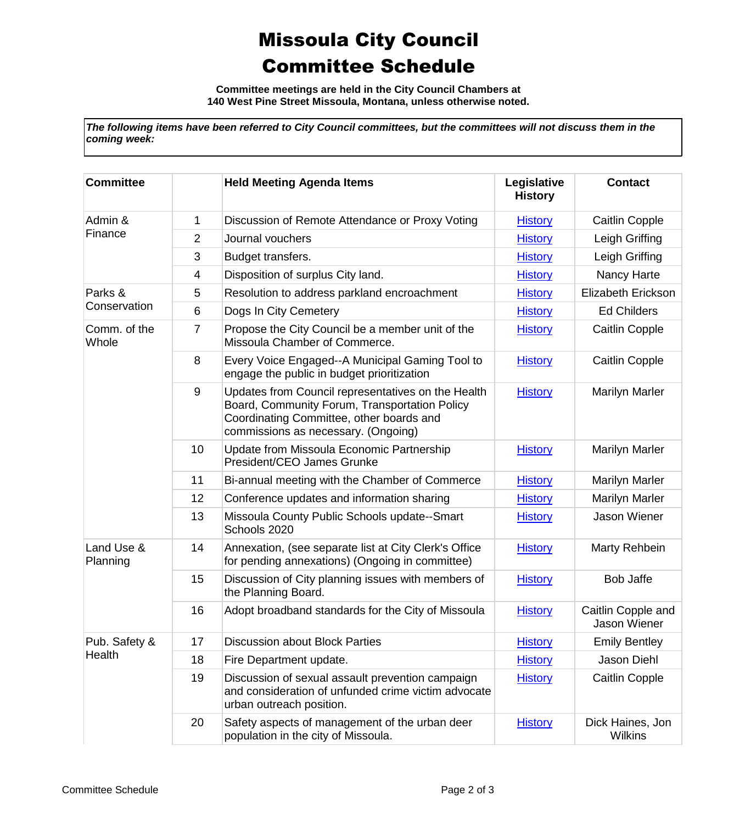## Missoula City Council Committee Schedule

**Committee meetings are held in the City Council Chambers at 140 West Pine Street Missoula, Montana, unless otherwise noted.**

*The following items have been referred to City Council committees, but the committees will not discuss them in the coming week:*

| <b>Committee</b>        |    | <b>Held Meeting Agenda Items</b>                                                                                                                                                       | Legislative<br><b>History</b> | <b>Contact</b>                     |
|-------------------------|----|----------------------------------------------------------------------------------------------------------------------------------------------------------------------------------------|-------------------------------|------------------------------------|
| Admin &<br>Finance      | 1  | Discussion of Remote Attendance or Proxy Voting                                                                                                                                        | <b>History</b>                | <b>Caitlin Copple</b>              |
|                         | 2  | Journal vouchers                                                                                                                                                                       | <b>History</b>                | Leigh Griffing                     |
|                         | 3  | Budget transfers.                                                                                                                                                                      | <b>History</b>                | Leigh Griffing                     |
|                         | 4  | Disposition of surplus City land.                                                                                                                                                      | <b>History</b>                | Nancy Harte                        |
| Parks &<br>Conservation | 5  | Resolution to address parkland encroachment                                                                                                                                            | <b>History</b>                | Elizabeth Erickson                 |
|                         | 6  | Dogs In City Cemetery                                                                                                                                                                  | <b>History</b>                | <b>Ed Childers</b>                 |
| Comm. of the<br>Whole   | 7  | Propose the City Council be a member unit of the<br>Missoula Chamber of Commerce.                                                                                                      | <b>History</b>                | <b>Caitlin Copple</b>              |
|                         | 8  | Every Voice Engaged--A Municipal Gaming Tool to<br>engage the public in budget prioritization                                                                                          | <b>History</b>                | <b>Caitlin Copple</b>              |
|                         | 9  | Updates from Council representatives on the Health<br>Board, Community Forum, Transportation Policy<br>Coordinating Committee, other boards and<br>commissions as necessary. (Ongoing) | <b>History</b>                | <b>Marilyn Marler</b>              |
|                         | 10 | Update from Missoula Economic Partnership<br>President/CEO James Grunke                                                                                                                | <b>History</b>                | <b>Marilyn Marler</b>              |
|                         | 11 | Bi-annual meeting with the Chamber of Commerce                                                                                                                                         | <b>History</b>                | <b>Marilyn Marler</b>              |
|                         | 12 | Conference updates and information sharing                                                                                                                                             | <b>History</b>                | Marilyn Marler                     |
|                         | 13 | Missoula County Public Schools update--Smart<br>Schools 2020                                                                                                                           | <b>History</b>                | Jason Wiener                       |
| Land Use &<br>Planning  | 14 | Annexation, (see separate list at City Clerk's Office<br>for pending annexations) (Ongoing in committee)                                                                               | <b>History</b>                | Marty Rehbein                      |
|                         | 15 | Discussion of City planning issues with members of<br>the Planning Board.                                                                                                              | <b>History</b>                | <b>Bob Jaffe</b>                   |
|                         | 16 | Adopt broadband standards for the City of Missoula                                                                                                                                     | <b>History</b>                | Caitlin Copple and<br>Jason Wiener |
| Pub. Safety &<br>Health | 17 | <b>Discussion about Block Parties</b>                                                                                                                                                  | <b>History</b>                | <b>Emily Bentley</b>               |
|                         | 18 | Fire Department update.                                                                                                                                                                | <b>History</b>                | Jason Diehl                        |
|                         | 19 | Discussion of sexual assault prevention campaign<br>and consideration of unfunded crime victim advocate<br>urban outreach position.                                                    | <b>History</b>                | Caitlin Copple                     |
|                         | 20 | Safety aspects of management of the urban deer<br>population in the city of Missoula.                                                                                                  | <b>History</b>                | Dick Haines, Jon<br><b>Wilkins</b> |